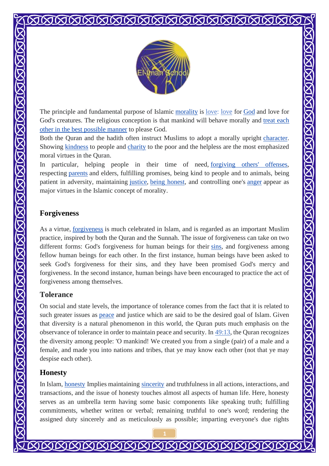

The principle and fundamental purpose of Islamic [morality](https://en.wikipedia.org/wiki/Morality) is <u>love: love</u> for [God](https://en.wikipedia.org/wiki/God_in_IsAllah%20%20lam) and love for God's creatures. The religious conception is that mankind will behave morally and [treat each](https://en.wikipedia.org/wiki/Philanthropy)  [other in the best possible manner](https://en.wikipedia.org/wiki/Philanthropy) to please God.

Both the Quran and the hadith often instruct Muslims to adopt a morally upright [character.](https://en.wikipedia.org/wiki/Moral_character) Showing [kindness](https://en.wikipedia.org/wiki/Kindness) to people and [charity](https://en.wikipedia.org/wiki/Charity_(practice)) to the poor and the helpless are the most emphasized moral virtues in the Quran.

In particular, helping people in their time of need, [forgiving others' offenses,](https://en.wikipedia.org/wiki/Forgiveness) respecting [parents](https://en.wikipedia.org/wiki/Parent) and elders, fulfilling promises, being kind to people and to animals, being patient in adversity, maintaining [justice,](https://en.wikipedia.org/wiki/Justice) [being honest,](https://en.wikipedia.org/wiki/Honesty) and controlling one's [anger](https://en.wikipedia.org/wiki/Anger) appear as major virtues in the Islamic concept of morality.

# **Forgiveness**

MARIAN NA KABARAN NA KARANG NA KABABAN NA KARANG NA KABA

As a virtue, [forgiveness](https://en.wikipedia.org/wiki/Forgiveness) is much celebrated in Islam, and is regarded as an important Muslim practice, inspired by both the Quran and the Sunnah. The issue of forgiveness can take on two different forms: God's forgiveness for human beings for their [sins,](https://en.wikipedia.org/wiki/Sin) and forgiveness among fellow human beings for each other. In the first instance, human beings have been asked to seek God's forgiveness for their sins, and they have been promised God's mercy and forgiveness. In the second instance, human beings have been encouraged to practice the act of forgiveness among themselves.

#### **Tolerance**

On social and state levels, the importance of tolerance comes from the fact that it is related to such greater issues as [peace](https://en.wikipedia.org/wiki/Peace) and justice which are said to be the desired goal of Islam. Given that diversity is a natural phenomenon in this world, the Quran puts much emphasis on the observance of tolerance in order to maintain peace and security. In [49:13,](https://www.perseus.tufts.edu/hopper/text?doc=Perseus%3Atext%3A2002.02.0006%3Asura%3D49%3Averse%3D13) the Quran recognizes the diversity among people: 'O mankind! We created you from a single (pair) of a male and a female, and made you into nations and tribes, that ye may know each other (not that ye may despise each other).

#### **Honesty**

In Islam, [honesty](https://en.wikipedia.org/wiki/Honesty) Implies maintaining [sincerity](https://en.wikipedia.org/wiki/Sincerity) and truthfulness in all actions, interactions, and transactions, and the issue of honesty touches almost all aspects of human life. Here, honesty serves as an umbrella term having some basic components like speaking truth; fulfilling commitments, whether written or verbal; remaining truthful to one's word; rendering the assigned duty sincerely and as meticulously as possible; imparting everyone's due rights